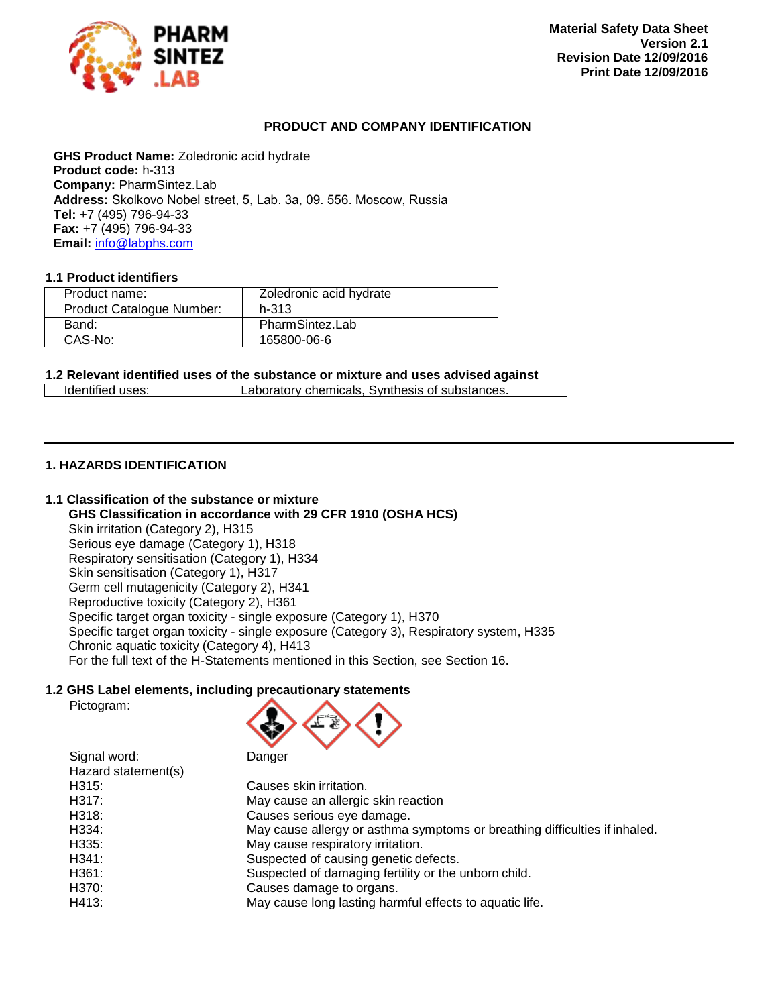

### <span id="page-0-1"></span><span id="page-0-0"></span>**PRODUCT AND COMPANY IDENTIFICATION**

**GHS Product Name:** Zoledronic acid hydrate **Product code:** h-313 **Company:** PharmSintez.Lab **Address:** Skolkovo Nobel street, 5, Lab. 3а, 09. 556. Moscow, Russia **Tel:** +7 (495) 796-94-33 **Fax:** +7 (495) 796-94-33 **Email:** [info@labphs.com](mailto:info@labphs.com)

### **1.1 Product identifiers**

| Product name:             | Zoledronic acid hydrate |  |
|---------------------------|-------------------------|--|
| Product Catalogue Number: | $h - 313$               |  |
| Band:                     | PharmSintez.Lab         |  |
| CAS-No:                   | 165800-06-6             |  |

#### **1.2 Relevant identified uses of the substance or mixture and uses advised against**

| Identified uses: | Laboratory chemicals, Synthesis of substances. |  |
|------------------|------------------------------------------------|--|

### **1. HAZARDS IDENTIFICATION**

## **1.1 Classification of the substance or mixture**

**GHS Classification in accordance with 29 CFR 1910 (OSHA HCS)** Skin irritation (Category 2), H315 Serious eye damage (Category 1), H318 Respiratory sensitisation (Category 1), H334 Skin sensitisation (Category 1), H317 Germ cell mutagenicity (Category 2), H341 Reproductive toxicity (Category 2), H361 Specific target organ toxicity - single exposure (Category 1), H370 Specific target organ toxicity - single exposure (Category 3), Respiratory system, H335 Chronic aquatic toxicity (Category 4), H413 For the full text of the H-Statements mentioned in this Section, see Section 16.

### **1.2 GHS Label elements, including precautionary statements**

Pictogram:



| Hazard statement(s) |                                                                            |
|---------------------|----------------------------------------------------------------------------|
| H315:               | Causes skin irritation.                                                    |
| H317:               | May cause an allergic skin reaction                                        |
| H318:               | Causes serious eye damage.                                                 |
| H334:               | May cause allergy or asthma symptoms or breathing difficulties if inhaled. |
| H335:               | May cause respiratory irritation.                                          |
| H341:               | Suspected of causing genetic defects.                                      |
| H361:               | Suspected of damaging fertility or the unborn child.                       |
| H370:               | Causes damage to organs.                                                   |
| H413:               | May cause long lasting harmful effects to aquatic life.                    |
|                     |                                                                            |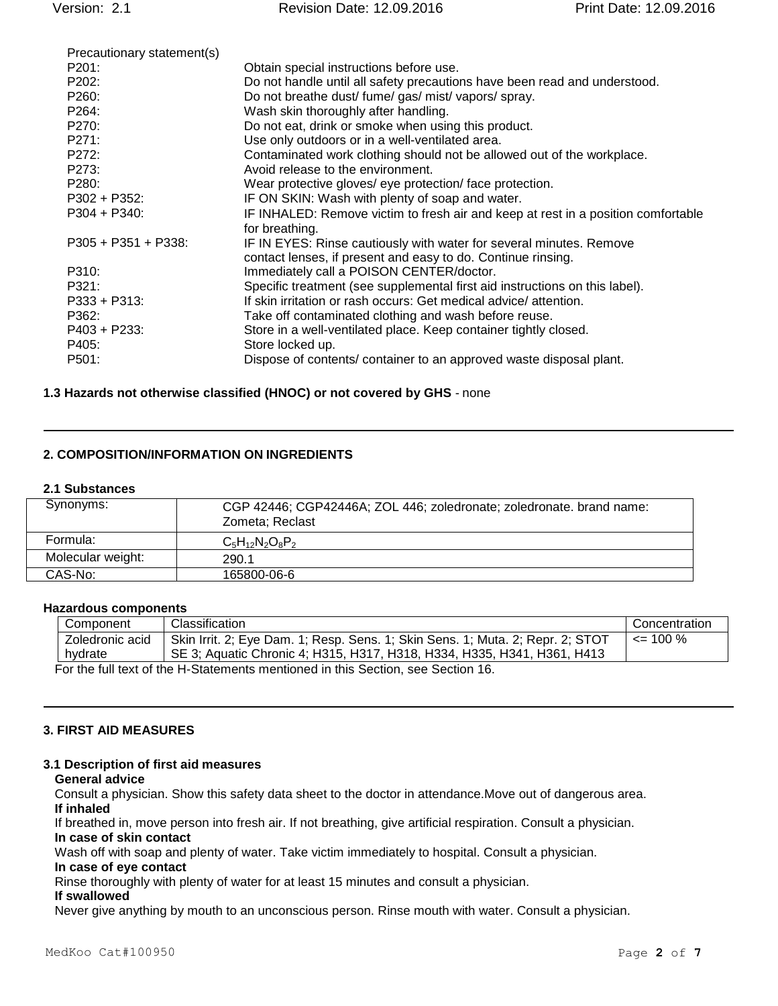| Precautionary statement(s) |                                                                                   |
|----------------------------|-----------------------------------------------------------------------------------|
| P201:                      | Obtain special instructions before use.                                           |
| P202:                      | Do not handle until all safety precautions have been read and understood.         |
| P260:                      | Do not breathe dust/ fume/ gas/ mist/ vapors/ spray.                              |
| P <sub>264</sub> :         | Wash skin thoroughly after handling.                                              |
| P270:                      | Do not eat, drink or smoke when using this product.                               |
| P271:                      | Use only outdoors or in a well-ventilated area.                                   |
| P272:                      | Contaminated work clothing should not be allowed out of the workplace.            |
| P273:                      | Avoid release to the environment.                                                 |
| P280:                      | Wear protective gloves/ eye protection/face protection.                           |
| $P302 + P352$ :            | IF ON SKIN: Wash with plenty of soap and water.                                   |
| $P304 + P340$ :            | IF INHALED: Remove victim to fresh air and keep at rest in a position comfortable |
|                            | for breathing.                                                                    |
| $P305 + P351 + P338$       | IF IN EYES: Rinse cautiously with water for several minutes. Remove               |
|                            | contact lenses, if present and easy to do. Continue rinsing.                      |
| P310:                      | Immediately call a POISON CENTER/doctor.                                          |
| P321:                      | Specific treatment (see supplemental first aid instructions on this label).       |
| P333 + P313:               | If skin irritation or rash occurs: Get medical advice/attention.                  |
| P362:                      | Take off contaminated clothing and wash before reuse.                             |
| $P403 + P233$ :            | Store in a well-ventilated place. Keep container tightly closed.                  |
| P405:                      | Store locked up.                                                                  |
| P501:                      | Dispose of contents/ container to an approved waste disposal plant.               |
|                            |                                                                                   |

### **1.3 Hazards not otherwise classified (HNOC) or not covered by GHS** - none

## **2. COMPOSITION/INFORMATION ON INGREDIENTS**

### **2.1 Substances**

| Synonyms:         | CGP 42446; CGP42446A; ZOL 446; zoledronate; zoledronate. brand name: |
|-------------------|----------------------------------------------------------------------|
|                   | Zometa; Reclast                                                      |
| Formula:          | $C_5H_{12}N_2O_8P_2$                                                 |
| Molecular weight: | 290.1                                                                |
| CAS-No:           | 165800-06-6                                                          |

#### **Hazardous components**

| Component                                                                        | <b>Classification</b>                                                          | Concentration |
|----------------------------------------------------------------------------------|--------------------------------------------------------------------------------|---------------|
| Zoledronic acid                                                                  | Skin Irrit. 2; Eye Dam. 1; Resp. Sens. 1; Skin Sens. 1; Muta. 2; Repr. 2; STOT | $\leq$ 100 %  |
| hvdrate                                                                          | SE 3; Aquatic Chronic 4; H315, H317, H318, H334, H335, H341, H361, H413        |               |
| For the full text of the H-Statements mentioned in this Section, see Section 16. |                                                                                |               |

### **3. FIRST AID MEASURES**

#### **3.1 Description of first aid measures**

#### **General advice**

Consult a physician. Show this safety data sheet to the doctor in attendance.Move out of dangerous area. **If inhaled**

If breathed in, move person into fresh air. If not breathing, give artificial respiration. Consult a physician. **In case of skin contact**

Wash off with soap and plenty of water. Take victim immediately to hospital. Consult a physician.

#### **In case of eye contact**

Rinse thoroughly with plenty of water for at least 15 minutes and consult a physician.

### **If swallowed**

Never give anything by mouth to an unconscious person. Rinse mouth with water. Consult a physician.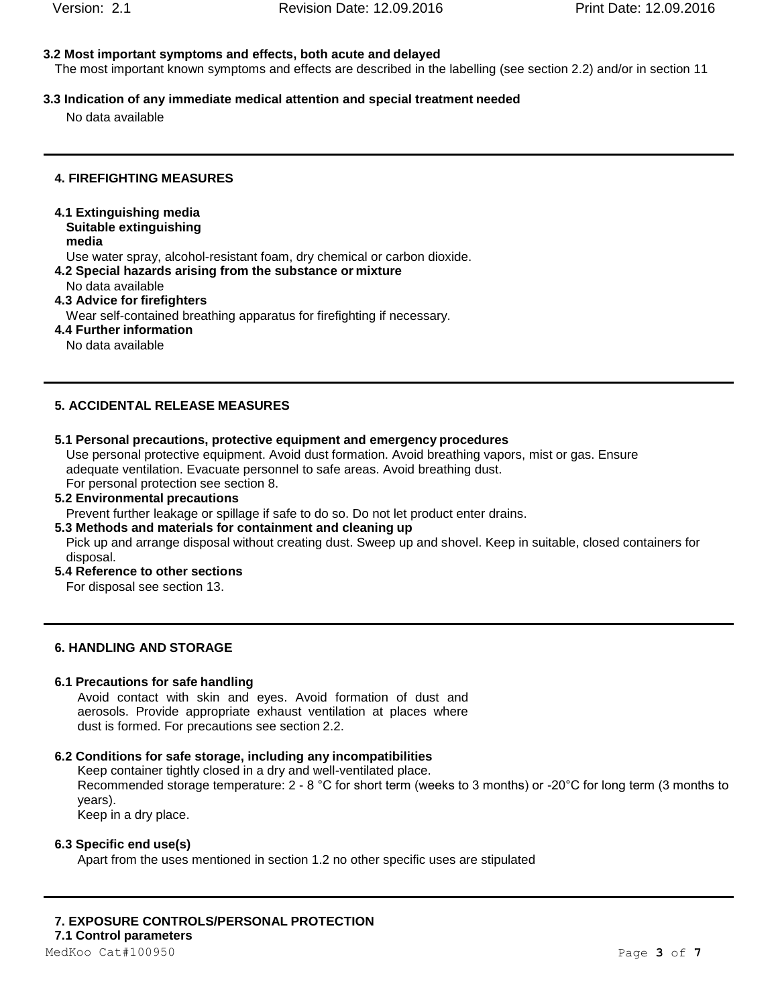# **3.2 Most important symptoms and effects, both acute and delayed**

The most important known symptoms and effects are described in the labelling (see section 2.2) and/or in section 11

# **3.3 Indication of any immediate medical attention and special treatment needed**

No data available

# **4. FIREFIGHTING MEASURES**

**4.1 Extinguishing media Suitable extinguishing**

**media**

Use water spray, alcohol-resistant foam, dry chemical or carbon dioxide.

- **4.2 Special hazards arising from the substance or mixture**
- No data available
- **4.3 Advice for firefighters**
	- Wear self-contained breathing apparatus for firefighting if necessary.
- **4.4 Further information**

No data available

# **5. ACCIDENTAL RELEASE MEASURES**

# **5.1 Personal precautions, protective equipment and emergency procedures**

Use personal protective equipment. Avoid dust formation. Avoid breathing vapors, mist or gas. Ensure adequate ventilation. Evacuate personnel to safe areas. Avoid breathing dust. For personal protection see section 8.

# **5.2 Environmental precautions**

Prevent further leakage or spillage if safe to do so. Do not let product enter drains.

## **5.3 Methods and materials for containment and cleaning up**

Pick up and arrange disposal without creating dust. Sweep up and shovel. Keep in suitable, closed containers for disposal.

**5.4 Reference to other sections**

For disposal see section 13.

# **6. HANDLING AND STORAGE**

# **6.1 Precautions for safe handling**

Avoid contact with skin and eyes. Avoid formation of dust and aerosols. Provide appropriate exhaust ventilation at places where dust is formed. For precautions see section 2.2.

# **6.2 Conditions for safe storage, including any incompatibilities**

Keep container tightly closed in a dry and well-ventilated place. Recommended storage temperature: 2 - 8 °C for short term (weeks to 3 months) or -20°C for long term (3 months to years).

Keep in a dry place.

# **6.3 Specific end use(s)**

Apart from the uses mentioned in section 1.2 no other specific uses are stipulated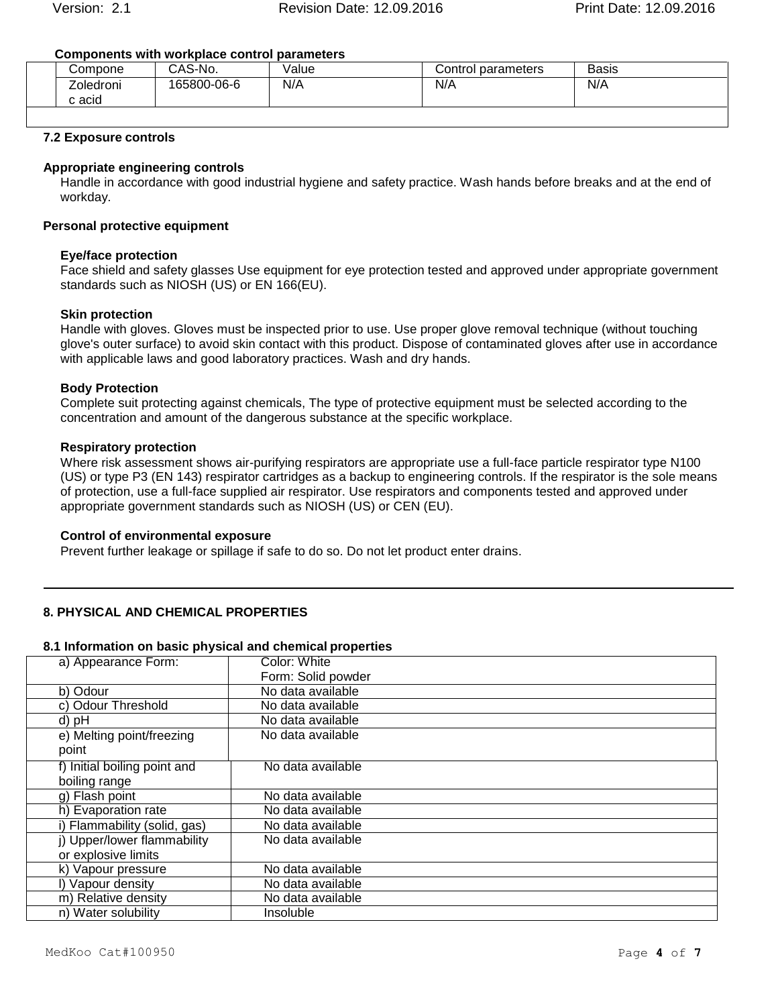## **Components with workplace control parameters**

| Compone             | CAS-No.     | Value | Control parameters | <b>Basis</b> |
|---------------------|-------------|-------|--------------------|--------------|
| Zoledroni<br>c acid | 165800-06-6 | N/A   | N/A                | N/A          |
|                     |             |       |                    |              |

# **7.2 Exposure controls**

# **Appropriate engineering controls**

Handle in accordance with good industrial hygiene and safety practice. Wash hands before breaks and at the end of workday.

# **Personal protective equipment**

# **Eye/face protection**

Face shield and safety glasses Use equipment for eye protection tested and approved under appropriate government standards such as NIOSH (US) or EN 166(EU).

# **Skin protection**

Handle with gloves. Gloves must be inspected prior to use. Use proper glove removal technique (without touching glove's outer surface) to avoid skin contact with this product. Dispose of contaminated gloves after use in accordance with applicable laws and good laboratory practices. Wash and dry hands.

## **Body Protection**

Complete suit protecting against chemicals, The type of protective equipment must be selected according to the concentration and amount of the dangerous substance at the specific workplace.

### **Respiratory protection**

Where risk assessment shows air-purifying respirators are appropriate use a full-face particle respirator type N100 (US) or type P3 (EN 143) respirator cartridges as a backup to engineering controls. If the respirator is the sole means of protection, use a full-face supplied air respirator. Use respirators and components tested and approved under appropriate government standards such as NIOSH (US) or CEN (EU).

## **Control of environmental exposure**

Prevent further leakage or spillage if safe to do so. Do not let product enter drains.

## **8. PHYSICAL AND CHEMICAL PROPERTIES**

## **8.1 Information on basic physical and chemical properties**

| a) Appearance Form:          | Color: White       |
|------------------------------|--------------------|
|                              | Form: Solid powder |
| b) Odour                     | No data available  |
| c) Odour Threshold           | No data available  |
| d) pH                        | No data available  |
| e) Melting point/freezing    | No data available  |
| point                        |                    |
| f) Initial boiling point and | No data available  |
| boiling range                |                    |
| g) Flash point               | No data available  |
| h) Evaporation rate          | No data available  |
| i) Flammability (solid, gas) | No data available  |
| i) Upper/lower flammability  | No data available  |
| or explosive limits          |                    |
| k) Vapour pressure           | No data available  |
| I) Vapour density            | No data available  |
| m) Relative density          | No data available  |
| n) Water solubility          | Insoluble          |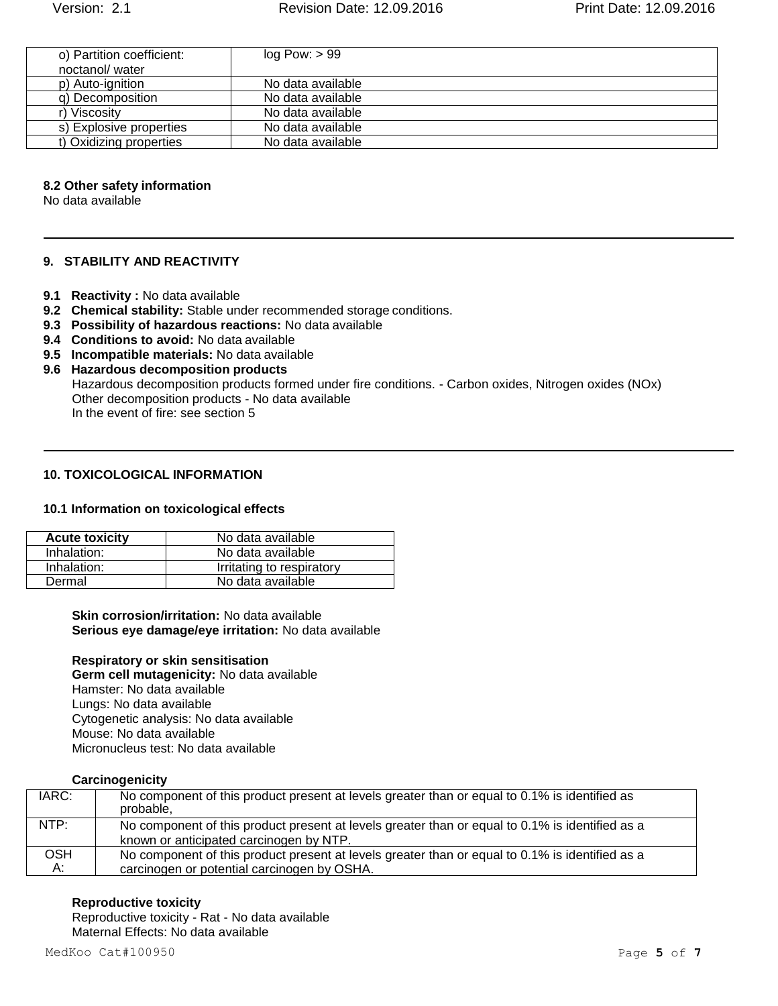| o) Partition coefficient: | log Pow: > 99     |
|---------------------------|-------------------|
| noctanol/water            |                   |
| p) Auto-ignition          | No data available |
| q) Decomposition          | No data available |
| r) Viscositv              | No data available |
| s) Explosive properties   | No data available |
| t) Oxidizing properties   | No data available |

#### **8.2 Other safety information**

No data available

### **9. STABILITY AND REACTIVITY**

- **9.1 Reactivity :** No data available
- **9.2 Chemical stability:** Stable under recommended storage conditions.
- **9.3 Possibility of hazardous reactions:** No data available
- **9.4 Conditions to avoid:** No data available
- **9.5 Incompatible materials:** No data available
- **9.6 Hazardous decomposition products** Hazardous decomposition products formed under fire conditions. - Carbon oxides, Nitrogen oxides (NOx) Other decomposition products - No data available In the event of fire: see section 5

## **10. TOXICOLOGICAL INFORMATION**

#### **10.1 Information on toxicological effects**

| <b>Acute toxicity</b> | No data available         |
|-----------------------|---------------------------|
| Inhalation:           | No data available         |
| Inhalation:           | Irritating to respiratory |
| Dermal                | No data available         |

### **Skin corrosion/irritation:** No data available **Serious eye damage/eye irritation:** No data available

**Respiratory or skin sensitisation Germ cell mutagenicity:** No data available Hamster: No data available Lungs: No data available Cytogenetic analysis: No data available Mouse: No data available Micronucleus test: No data available

#### **Carcinogenicity**

| IARC:            | No component of this product present at levels greater than or equal to 0.1% is identified as<br>probable.                                     |
|------------------|------------------------------------------------------------------------------------------------------------------------------------------------|
| NTP:             | No component of this product present at levels greater than or equal to 0.1% is identified as a<br>known or anticipated carcinogen by NTP.     |
| <b>OSH</b><br>А: | No component of this product present at levels greater than or equal to 0.1% is identified as a<br>carcinogen or potential carcinogen by OSHA. |

#### **Reproductive toxicity**

Reproductive toxicity - Rat - No data available Maternal Effects: No data available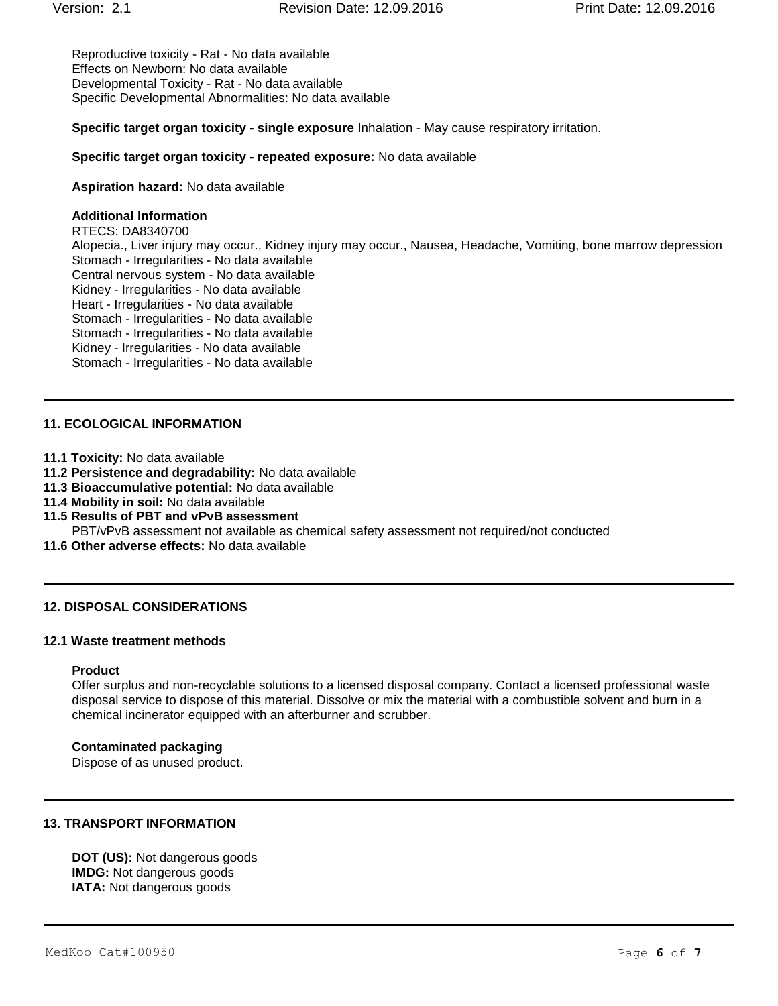Reproductive toxicity - Rat - No data available Effects on Newborn: No data available Developmental Toxicity - Rat - No data available Specific Developmental Abnormalities: No data available

**Specific target organ toxicity - single exposure** Inhalation - May cause respiratory irritation.

#### **Specific target organ toxicity - repeated exposure:** No data available

**Aspiration hazard:** No data available

### **Additional Information**

RTECS: DA8340700 Alopecia., Liver injury may occur., Kidney injury may occur., Nausea, Headache, Vomiting, bone marrow depression Stomach - Irregularities - No data available Central nervous system - No data available Kidney - Irregularities - No data available Heart - Irregularities - No data available Stomach - Irregularities - No data available Stomach - Irregularities - No data available Kidney - Irregularities - No data available Stomach - Irregularities - No data available

### **11. ECOLOGICAL INFORMATION**

- **11.1 Toxicity:** No data available
- **11.2 Persistence and degradability:** No data available
- **11.3 Bioaccumulative potential:** No data available
- **11.4 Mobility in soil:** No data available
- **11.5 Results of PBT and vPvB assessment** PBT/vPvB assessment not available as chemical safety assessment not required/not conducted
- **11.6 Other adverse effects:** No data available

#### **12. DISPOSAL CONSIDERATIONS**

#### **12.1 Waste treatment methods**

#### **Product**

Offer surplus and non-recyclable solutions to a licensed disposal company. Contact a licensed professional waste disposal service to dispose of this material. Dissolve or mix the material with a combustible solvent and burn in a chemical incinerator equipped with an afterburner and scrubber.

#### **Contaminated packaging**

Dispose of as unused product.

### **13. TRANSPORT INFORMATION**

**DOT (US):** Not dangerous goods **IMDG:** Not dangerous goods **IATA:** Not dangerous goods